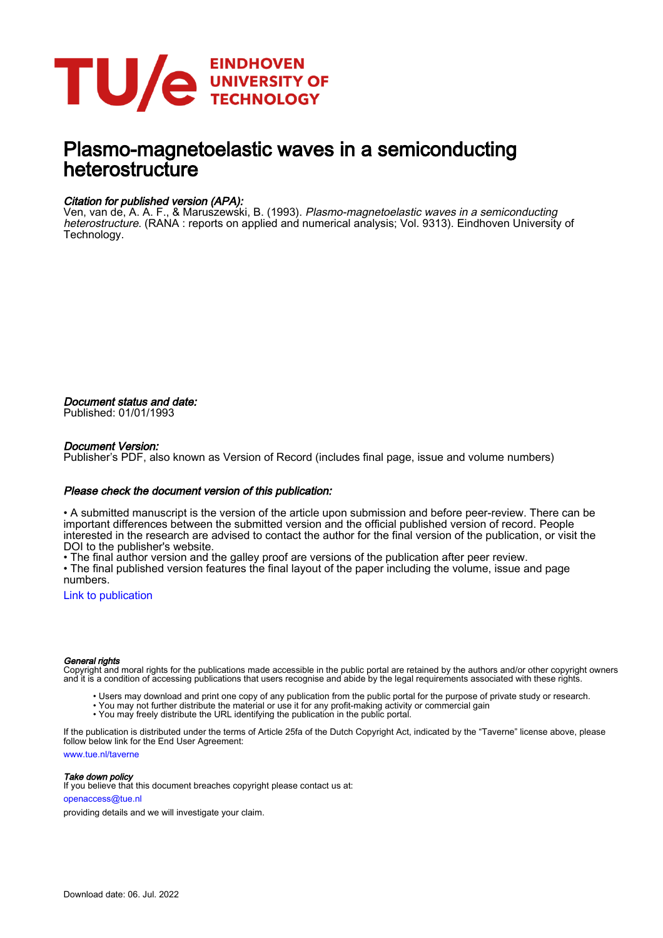

# Plasmo-magnetoelastic waves in a semiconducting heterostructure

#### Citation for published version (APA):

Ven, van de, A. A. F., & Maruszewski, B. (1993). *Plasmo-magnetoelastic waves in a semiconducting* heterostructure. (RANA : reports on applied and numerical analysis; Vol. 9313). Eindhoven University of Technology.

Document status and date: Published: 01/01/1993

#### Document Version:

Publisher's PDF, also known as Version of Record (includes final page, issue and volume numbers)

#### Please check the document version of this publication:

• A submitted manuscript is the version of the article upon submission and before peer-review. There can be important differences between the submitted version and the official published version of record. People interested in the research are advised to contact the author for the final version of the publication, or visit the DOI to the publisher's website.

• The final author version and the galley proof are versions of the publication after peer review.

• The final published version features the final layout of the paper including the volume, issue and page numbers.

[Link to publication](https://research.tue.nl/en/publications/20f02011-577c-48ab-b853-d611535b237c)

#### General rights

Copyright and moral rights for the publications made accessible in the public portal are retained by the authors and/or other copyright owners and it is a condition of accessing publications that users recognise and abide by the legal requirements associated with these rights.

- Users may download and print one copy of any publication from the public portal for the purpose of private study or research.
- You may not further distribute the material or use it for any profit-making activity or commercial gain
- You may freely distribute the URL identifying the publication in the public portal.

If the publication is distributed under the terms of Article 25fa of the Dutch Copyright Act, indicated by the "Taverne" license above, please follow below link for the End User Agreement:

www.tue.nl/taverne

**Take down policy**<br>If you believe that this document breaches copyright please contact us at:

openaccess@tue.nl

providing details and we will investigate your claim.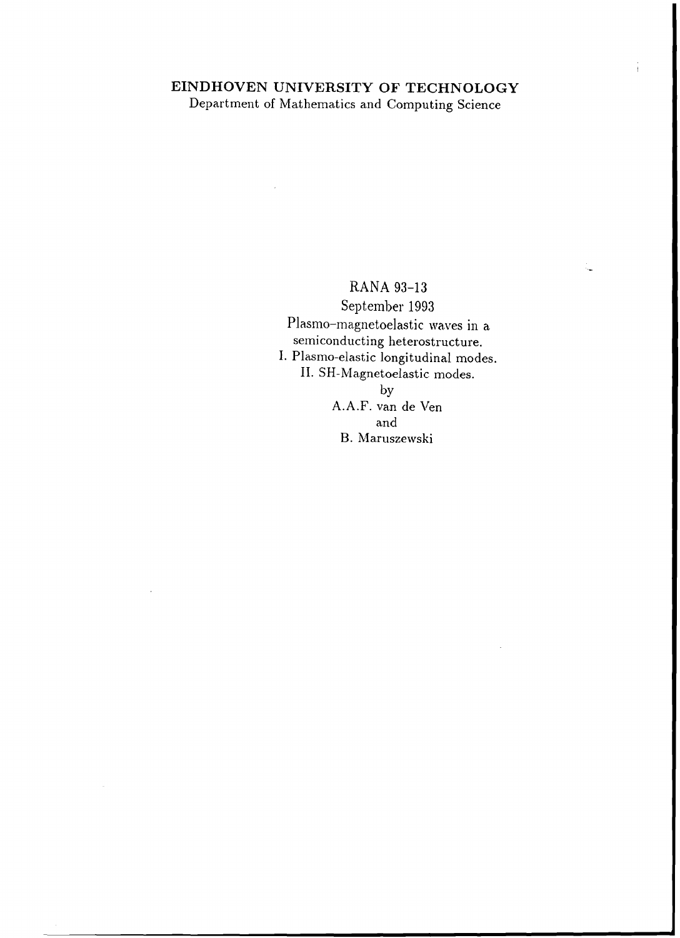## **EINDHOVEN UNIVERSITY OF TECHNOLOGY** Department of Mathematics and Computing Science

RANA 93-13 September 1993 Plasmo-magnetoelastic waves in a semiconducting heterostructure. 1. Plasma-elastic longitudinal modes. **II.** SH-Magnetoelastic modes. by

í.

A.A.F. van de Ven and B. Maruszewski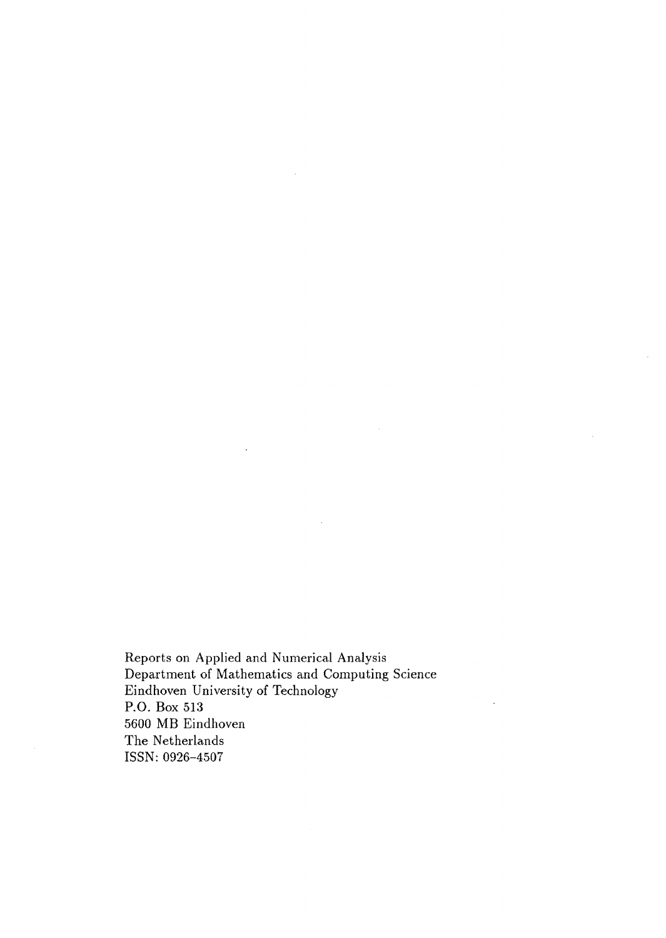Reports on Applied and Numerical Analysis Department of Mathematics and Computing Science Eindhoven University of Technology **P.O.** Box 513 5600 **MB** Eindhoven The Netherlands ISSN: 0926-4507

 $\sim$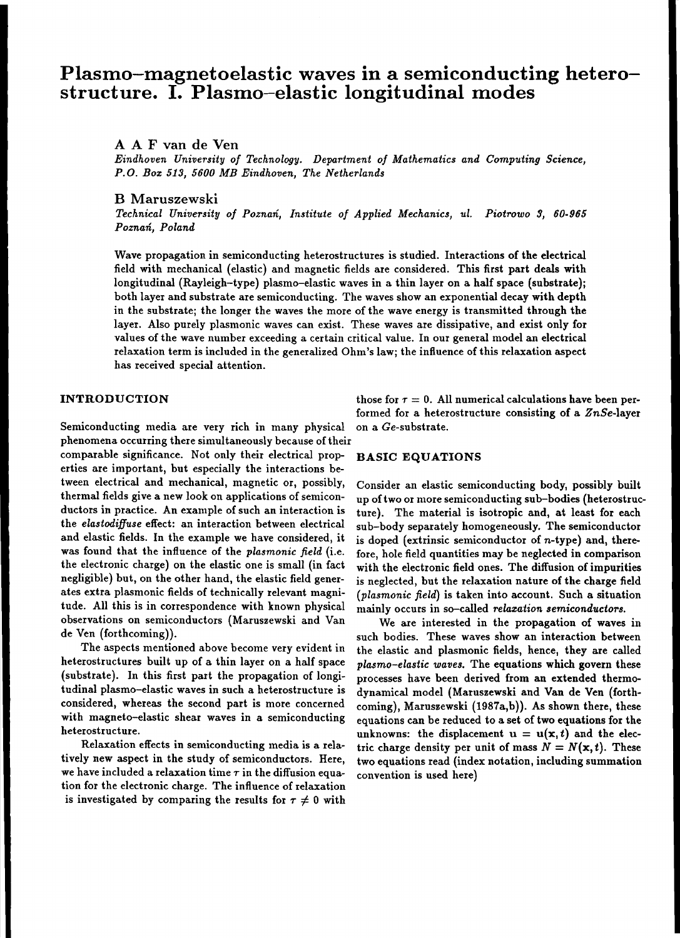## **Plasmo-magnetoelastic waves in a semiconducting heterostructure. I. Plasmo-elastic longitudinal modes**

### A A F van de Yen

*Eindhoven University of Technology. Department of Mathematics and Computing Science, P.O. Boz* 513, *5600 MB Eindhoven, The Netherlands*

#### B Maruszewski

*Technical University of Poznan, Institute of Applied Mechanics, ul. Piotrowo* 3, *60-965 Poznan, Poland*

Wave propagation in semiconducting heterostructures is studied. Interactions of the electrical field with mechanical (elastic) and magnetic fields are considered. This first part deals with longitudinal (Rayleigh-type) plasmo-elastic waves in a thin layer on a half space (substrate); both layer and substrate are semiconducting. The waves show an exponential decay with depth in the substrate; the longer the waves the more of the wave energy is transmitted through the layer. Also purely plasmonic waves can exist. These waves are dissipative, and exist only for values of the wave number exceeding a certain critical value. In our general model an electrical relaxation term is included in the generalized Ohm's law; the influence ofthis relaxation aspect has received special attention.

Semiconducting media are very rich in many physical on a Ge-substrate. phenomena occurring there simultaneously because of their

comparable significance. Not only their electrical prop- **BASIC EQUATIONS** erties are important, but especially the interactions between electrical and mechanical, magnetic or, possibly, thermal fields give a new look on applications of semiconductors in practice. An example of such an interaction is the *elastodifJuse* effect: an interaction between electrical and elastic fields. In the example we have considered, it was found that the influence of the *plasmonic* field (i.e. the electronic charge) on the elastic one is small (in fact negligible) but, on the other hand, the elastic field generates extra plasmonic fields of technically relevant magnitude. All this is in correspondence with known physical observations on semiconductors (Maruszewski and Van de Ven (forthcoming)).

The aspects mentioned above become very evident in heterostructures built up of a thin layer on a half space (substrate). In this first part the propagation of longitudinal plasmo-elastic waves in such a heterostructure is considered, whereas the second part is more concerned with magneto-elastic shear waves in a semiconducting heterostructure.

Relaxation effects in semiconducting media is a relatively new aspect in the study of semiconductors. Here, we have included a relaxation time  $\tau$  in the diffusion equation for the electronic charge. The influence of relaxation is investigated by comparing the results for  $\tau \neq 0$  with

**INTRODUCTION** those for  $\tau = 0$ . All numerical calculations have been performed for a heterostructure consisting of a *ZnSe-layer*

Consider an elastic semiconducting body, possibly built up oftwo or more semiconducting sub-bodies (heterostructure). The material is isotropic and, at least for each sub-body separately homogeneously. The semiconductor is doped (extrinsic semiconductor of  $n$ -type) and, therefore, hole field quantities may be neglected in comparison with the electronic field ones. The diffusion of impurities is neglected, but the relaxation nature of the charge field *(plasmonic field)* is taken into account. Such a situation mainly occurs in so-called *relazation semiconductors.*

We are interested in the propagation of waves in such bodies. These waves show an interaction between the elastic and plasmonic fields, hence, they are called *plasmo-elastic waves.* The equations which govern these processes have been derived from an extended thermodynamical model (Maruszewski and Van de Ven (forthcoming), Maruszewski (1987a,b)). As shown there, these equations can be reduced to a set of two equations for the unknowns: the displacement  $u = u(x, t)$  and the electric charge density per unit of mass  $N = N(x, t)$ . These two equations read (index notation, including summation convention is used here)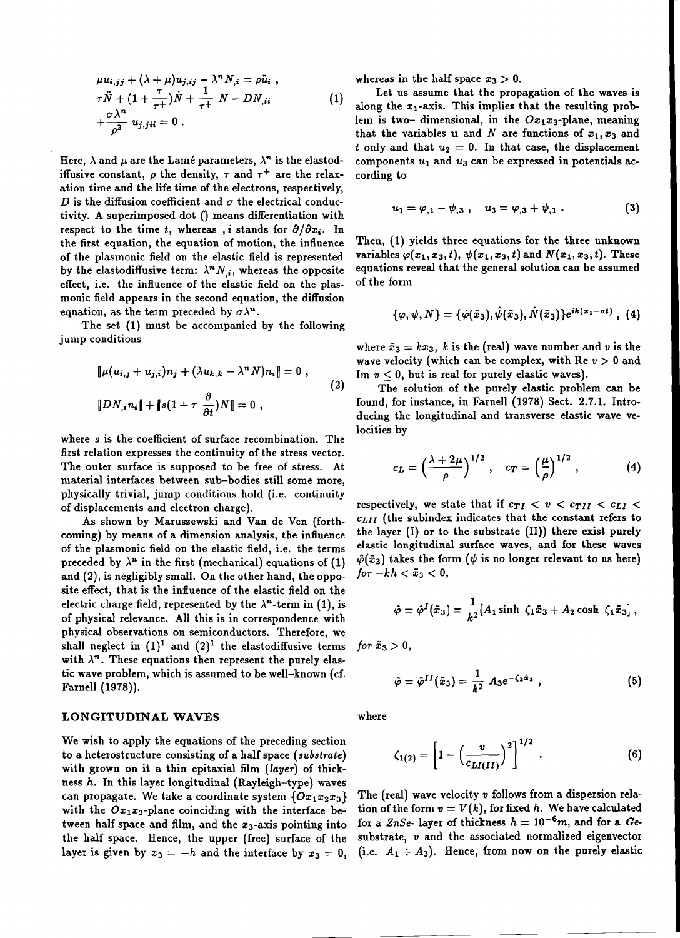$$
\mu u_{i,jj} + (\lambda + \mu) u_{j,ij} - \lambda^n N_{,i} = \rho \ddot{u}_i ,
$$
  
\n
$$
\tau \ddot{N} + (1 + \frac{\tau}{\tau^+}) \dot{N} + \frac{1}{\tau^+} N - DN_{,ii}
$$
  
\n
$$
+ \frac{\sigma \lambda^n}{\rho^2} u_{j,ji} = 0 .
$$
\n(1)

Here,  $\lambda$  and  $\mu$  are the Lamé parameters,  $\lambda^n$  is the elastodiffusive constant,  $\rho$  the density,  $\tau$  and  $\tau^+$  are the relaxation time and the life time of the electrons, respectively, D is the diffusion coefficient and  $\sigma$  the electrical conductivity. A superimposed dot () means differentiation with respect to the time t, whereas, i stands for  $\partial/\partial x_i$ . In the first equation, the equation of motion, the influence of the plasmonic field on the elastic field is represented by the elastodiffusive term:  $\lambda^n N_{i}$ , whereas the opposite effect, i.e. the influence of the elastic field on the plasmonic field appears in the second equation, the diffusion equation, as the term preceded by  $\sigma \lambda^n$ .

The set (1) must be accompanied by the following jump conditions

$$
\|\mu(u_{i,j} + u_{j,i})n_j + (\lambda u_{k,k} - \lambda^n N)n_i\| = 0,
$$
  

$$
\|DN_{i,i}n_{i}\| + \|s(1 + \tau \frac{\partial}{\partial t})N\| = 0,
$$
 (2)

where *s* is the coefficient of surface recombination. The first relation expresses the continuity of the stress vector. The outer surface is supposed to be free of stress. At material interfaces between sub-bodies still some more, physically trivial, jump conditions hold (i.e. continuity of displacements and electron charge).

As shown by Maruszewski and Van de Ven (forthcoming) by means of a dimension analysis, the influence of the plasmonic field on the elastic field, i.e. the terms preceded by  $\lambda^n$  in the first (mechanical) equations of (1) and (2), is negligibly small. On the other hand, the opposite effect, that is the influence of the elastic field on the electric charge field, represented by the  $\lambda^n$ -term in (1), is of physical relevance. All this is in correspondence with physical observations on semiconductors. Therefore, we shall neglect in  $(1)^1$  and  $(2)^1$  the elastodiffusive terms with  $\lambda^n$ . These equations then represent the purely elastic wave problem, which is assumed to be well-known (cf. Farnell (1978)).

#### **LONGITUDINAL WAVES** where

We wish to apply the equations of the preceding section to a heterostructure consisting of a half space *(substrate)* with grown on it a thin epitaxial film *(layer)* of thickness *h.* In this layer longitudinal (Rayleigh-type) waves can propagate. We take a coordinate system  $\{Ox_1x_2x_3\}$ with the  $Ox_1x_2$ -plane coinciding with the interface between half space and film, and the  $x_3$ -axis pointing into the half space. Hence, the upper (free) surface of the layer is given by  $x_3 = -h$  and the interface by  $x_3 = 0$ , whereas in the half space  $x_3 > 0$ .

Let us assume that the propagation of the waves is along the  $x_1$ -axis. This implies that the resulting problem is two- dimensional, in the  $Ox_1x_3$ -plane, meaning that the variables u and N are functions of  $x_1, x_3$  and *t* only and that  $u_2 = 0$ . In that case, the displacement components  $u_1$  and  $u_3$  can be expressed in potentials according to

$$
u_1 = \varphi_{,1} - \psi_{,3} , \quad u_3 = \varphi_{,3} + \psi_{,1} . \tag{3}
$$

Then, (1) yields three equations for the three unknown variables  $\varphi(x_1, x_3, t)$ ,  $\psi(x_1, x_3, t)$  and  $N(x_1, x_3, t)$ . These equations reveal that the general solution can be assumed of the form

$$
\{\varphi,\psi,N\}=\{\hat{\varphi}(\tilde{x}_3),\hat{\psi}(\tilde{x}_3),\hat{N}(\tilde{x}_3)\}e^{ik(x_1-vt)},\,\,(4)
$$

where  $\tilde{x}_3 = kx_3$ , *k* is the (real) wave number and *v* is the wave velocity (which can be complex, with  $\text{Re } v > 0$  and Im  $v < 0$ , but is real for purely elastic waves).

The solution of the purely elastic problem can be found, for instance, in Farnell (1978) Sect. 2.7.1. Introducing the longitudinal and transverse elastic wave velocities by

$$
c_L = \left(\frac{\lambda + 2\mu}{\rho}\right)^{1/2}, \quad c_T = \left(\frac{\mu}{\rho}\right)^{1/2}, \quad (4)
$$

respectively, we state that if  $c_{TI} < v < c_{TII} < c_{LI} <$ *CLlI* (the subindex indicates that the constant refers to the layer  $(I)$  or to the substrate  $(II)$ ) there exist purely elastic longitudinal surface waves, and for these waves  $\hat{\varphi}(\tilde{x}_3)$  takes the form ( $\psi$  is no longer relevant to us here) *for*  $-kh < \tilde{x}_3 < 0$ ,

$$
\hat{\varphi} = \hat{\varphi}^I(\tilde{x}_3) = \frac{1}{k^2} [A_1 \sinh \zeta_1 \tilde{x}_3 + A_2 \cosh \zeta_1 \tilde{x}_3],
$$

for  $\tilde{x}_3 > 0$ ,

$$
\hat{\varphi} = \hat{\varphi}^{II}(\tilde{x}_3) = \frac{1}{k^2} A_3 e^{-\zeta_2 \tilde{x}_3} , \qquad (5)
$$

$$
\zeta_{1(2)} = \left[1 - \left(\frac{v}{c_{LI(II)}}\right)^2\right]^{1/2} . \tag{6}
$$

The (real) wave velocity *v* follows from a dispersion relation of the form  $v = V(k)$ , for fixed h. We have calculated for a  $ZnSe$ - layer of thickness  $h = 10^{-6}m$ , and for a *Ge*substrate, *v* and the associated normalized eigenvector (i.e.  $A_1 \div A_3$ ). Hence, from now on the purely elastic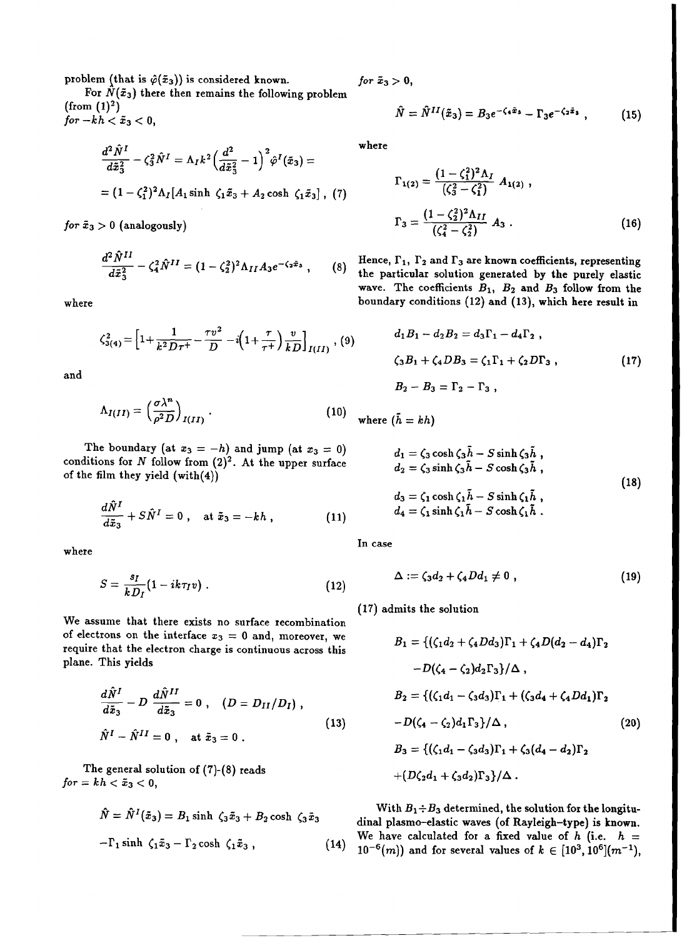problem (that is  $\hat{\varphi}(\tilde{x}_3)$ ) is considered known. *for*  $\tilde{x}_3 > 0$ ,

For  $\hat{N}(\tilde{x}_3)$  there then remains the following problem (from  $(1)^2$ ) (from (1)<sup>2</sup>)<br>  $\hat{N} = \hat{N}^{II}(\tilde{x}_3) = B_3 e^{-\zeta_4 \tilde{x}_3} - \Gamma_3 e^{-\zeta_2 \tilde{x}_3}$ , (15)<br>  $\hat{N} = \hat{N}^{II}(\tilde{x}_3) = B_3 e^{-\zeta_4 \tilde{x}_3} - \Gamma_3 e^{-\zeta_2 \tilde{x}_3}$ , (15)  $for -kh < \tilde{x}_3 < 0$ ,

$$
\frac{d^2\hat{N}^I}{d\tilde{x}_3^2} - \zeta_3^2 \hat{N}^I = \Lambda_I k^2 \left(\frac{d^2}{d\tilde{x}_3^2} - 1\right)^2 \hat{\varphi}^I(\tilde{x}_3) =
$$
  
=  $(1 - \zeta_1^2)^2 \Lambda_I [A_1 \sinh \zeta_1 \tilde{x}_3 + A_2 \cosh \zeta_1 \tilde{x}_3], (7)$ 

 $for\ \tilde{x}_3>0\ \text{(analogously)}$ 

$$
\frac{d^2 \hat{N}^{II}}{d\tilde{x}_3^2} - \zeta_4^2 \hat{N}^{II} = (1 - \zeta_2^2)^2 \Lambda_{II} A_3 e^{-\zeta_2 \tilde{x}_3} , \qquad (8)
$$

where

$$
\zeta_{3(4)}^2 = \left[1 + \frac{1}{k^2 D \tau^+} - \frac{\tau v^2}{D} - i\left(1 + \frac{\tau}{\tau^+}\right) \frac{v}{k D}\right]_{I(II)}, \, (9)
$$

and

$$
\Lambda_{I(II)} = \left(\frac{\sigma \lambda^n}{\rho^2 D}\right)_{I(II)}.
$$
\n(10)

The boundary (at  $x_3 = -h$ ) and jump (at  $x_3 = 0$ ) conditions for  $N$  follow from  $(2)^2$ . At the upper surface of the film they yield (with(4))

$$
\frac{d\hat{N}^I}{d\tilde{x}_3} + S\hat{N}^I = 0 , \quad \text{at } \tilde{x}_3 = -kh , \qquad (11)
$$

where

$$
S = \frac{s_I}{k D_I} (1 - i k \tau_I v) \; . \tag{12}
$$

We assume that there exists no surface recombination of electrons on the interface  $x_3 = 0$  and, moreover, we require that the electron charge is continuous across this plane. This yields

$$
\frac{d\hat{N}^I}{d\tilde{x}_3} - D \frac{d\hat{N}^{II}}{d\tilde{x}_3} = 0 , \quad (D = D_{II}/D_I) ,
$$
  

$$
\hat{N}^I - \hat{N}^{II} = 0 , \quad \text{at } \tilde{x}_3 = 0 .
$$
 (13)

The general solution of (7)-(8) reads  $for = kh < \tilde{x}_3 < 0,$ 

$$
\hat{N} = \hat{N}^{I}(\tilde{x}_{3}) = B_{1} \sinh \zeta_{3} \tilde{x}_{3} + B_{2} \cosh \zeta_{3} \tilde{x}_{3}
$$

$$
-\Gamma_{1} \sinh \zeta_{1} \tilde{x}_{3} - \Gamma_{2} \cosh \zeta_{1} \tilde{x}_{3}, \qquad (14)
$$

$$
\hat{N} = \hat{N}^{II}(\tilde{x}_3) = B_3 e^{-\zeta_4 \tilde{x}_3} - \Gamma_3 e^{-\zeta_2 \tilde{x}_3} , \qquad (15)
$$

where

$$
\Gamma_{1(2)} = \frac{(1 - \zeta_1^2)^2 \Lambda_I}{(\zeta_3^2 - \zeta_1^2)} A_{1(2)},
$$
\n
$$
\Gamma_3 = \frac{(1 - \zeta_2^2)^2 \Lambda_{II}}{(\zeta_4^2 - \zeta_2^2)} A_3.
$$
\n(16)

Hence,  $\Gamma_1$ ,  $\Gamma_2$  and  $\Gamma_3$  are known coefficients, representing  $\{8\}$  the particular solution generated by the purely elastic wave. The coefficients  $B_1$ ,  $B_2$  and  $B_3$  follow from the boundary conditions (12) and (13), which here result in

$$
d_1 B_1 - d_2 B_2 = d_3 \Gamma_1 - d_4 \Gamma_2 ,
$$
  
\n
$$
\zeta_3 B_1 + \zeta_4 D B_3 = \zeta_1 \Gamma_1 + \zeta_2 D \Gamma_3 ,
$$
  
\n
$$
B_2 - B_3 = \Gamma_2 - \Gamma_3 ,
$$
\n(17)

where  $(\bar{h} = kh)$ 

$$
d_1 = \zeta_3 \cosh \zeta_3 \tilde{h} - S \sinh \zeta_3 \tilde{h} ,
$$
  
\n
$$
d_2 = \zeta_3 \sinh \zeta_3 \tilde{h} - S \cosh \zeta_3 \tilde{h} ,
$$
  
\n
$$
d_3 = \zeta_1 \cosh \zeta_1 \tilde{h} - S \sinh \zeta_1 \tilde{h} ,
$$
  
\n
$$
d_4 = \zeta_1 \sinh \zeta_1 \tilde{h} - S \cosh \zeta_1 \tilde{h} .
$$
\n(18)

In case

$$
\Delta := \zeta_3 d_2 + \zeta_4 D d_1 \neq 0 \tag{19}
$$

(17) admits the solution

$$
B_1 = \{ (\zeta_1 d_2 + \zeta_4 D d_3) \Gamma_1 + \zeta_4 D (d_2 - d_4) \Gamma_2
$$
  
-D( $\zeta_4 - \zeta_2$ )d<sub>2</sub>  $\Gamma_3$ )/ $\Delta$ ,  

$$
B_2 = \{ (\zeta_1 d_1 - \zeta_3 d_3) \Gamma_1 + (\zeta_3 d_4 + \zeta_4 D d_1) \Gamma_2
$$
  
-D( $\zeta_4 - \zeta_2$ )d<sub>1</sub>  $\Gamma_3$ )/ $\Delta$ , (20)  

$$
B_3 = \{ (\zeta_1 d_1 - \zeta_3 d_3) \Gamma_1 + \zeta_3 (d_4 - d_2) \Gamma_2
$$
  
+ $(D\zeta_2 d_1 + \zeta_3 d_2) \Gamma_3 \} / \Delta$ .

With  $B_1 \div B_3$  determined, the solution for the longitudinal plasma-elastic waves (of Rayleigh-type) is known. We have calculated for a fixed value of  $h$  (i.e.  $h =$  $(14)$   $10^{-6}(m)$ ) and for several values of  $k \in [10^3, 10^6](m^{-1})$ ,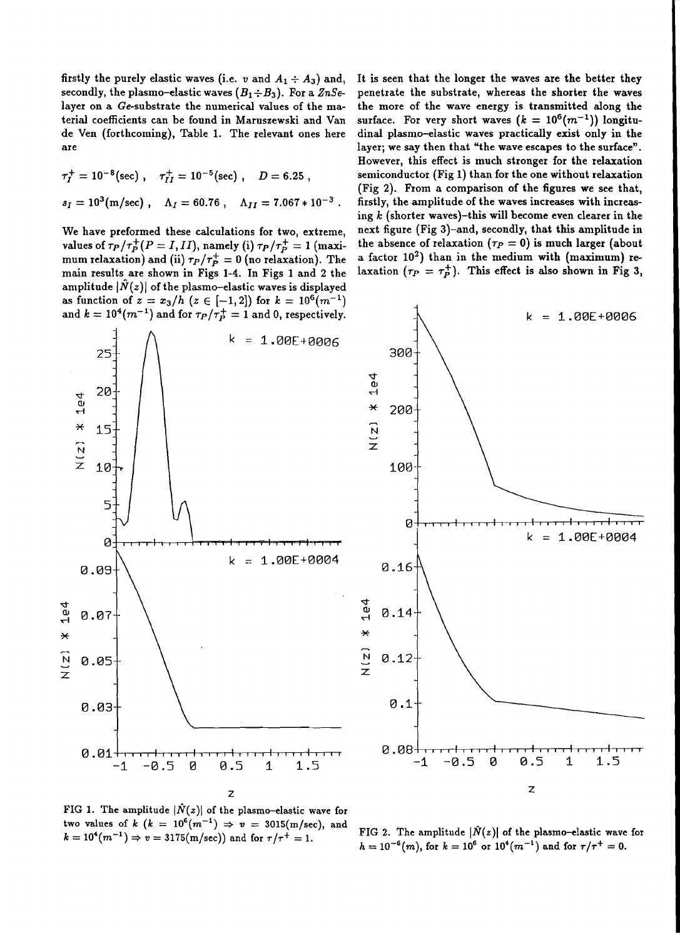firstly the purely elastic waves (i.e. *v* and  $A_1 \div A_3$ ) and, secondly, the plasmo-elastic waves  $(B_1 \div B_3)$ . For a  $\mathbb{Z} nSe$ layer on a Ge-substrate the numerical values of the material coefficients can be found in Maruszewski and Van de Ven (forthcoming), Table 1. The relevant ones here are

$$
\tau_I^+ = 10^{-8} \text{(sec)}, \quad \tau_{II}^+ = 10^{-5} \text{(sec)}, \quad D = 6.25 ,
$$
  

$$
s_I = 10^3 \text{(m/sec)}, \quad \Lambda_I = 60.76, \quad \Lambda_{II} = 7.067 * 10^{-3} .
$$

We have preformed these calculations for two, extreme, values of  $\tau_P/\tau_P^+(P=I,II)$ , namely (i)  $\tau_P/\tau_P^+=1$  (maximum relaxation) and (ii)  $\tau_P/\tau_P^+ = 0$  (no relaxation). The main results are shown in Figs 1-4. In Figs 1 and 2 the amplitude  $|\tilde{N}(z)|$  of the plasmo-elastic waves is displayed as function of  $z = x_3/h$  ( $z \in [-1,2]$ ) for  $k = 10^6 (m^{-1})$ and  $k = 10^4 (m^{-1})$  and for  $\tau_P / \tau_P^+ = 1$  and 0, respectively.

It is seen that the longer the waves are the better they penetrate the substrate, whereas the shorter the waves the more of the wave energy is transmitted along the surface. For very short waves  $(k = 10^6(m^{-1}))$  longitudinal plasmo-elastic waves practically exist only in the layer; we say then that "the wave escapes to the surface" . However, this effect is much stronger for the relaxation semiconductor (Fig 1) than for the one without relaxation (Fig 2). From a comparison of the figures we see that, firstly, the amplitude of the waves increases with increasing *k* (shorter waves)-this will become even clearer in the next figure (Fig 3)-and, secondly, that this amplitude in the absence of relaxation  $(\tau_P = 0)$  is much larger (about a factor 10<sup>2</sup>) than in the medium with (maximum) relaxation  $(\tau_P = \tau_P^+)$ . This effect is also shown in Fig 3,



FIG 1. The amplitude  $|\tilde{N}(z)|$  of the plasmo-elastic wave for two values of  $k$  ( $k = 10^6 (m^{-1}) \Rightarrow v = 3015 (m/sec)$ , and  $k = 10^4(m^{-1}) \Rightarrow v = 3175(m/sec))$  and for  $\tau/\tau^+ = 1$ .

FIG 2. The amplitude  $|\hat{N}(z)|$  of the plasmo-elastic wave for  $h = 10^{-6}(m)$ , for  $k = 10^{6}$  or  $10^{4}(m^{-1})$  and for  $\tau/\tau^{+} = 0$ .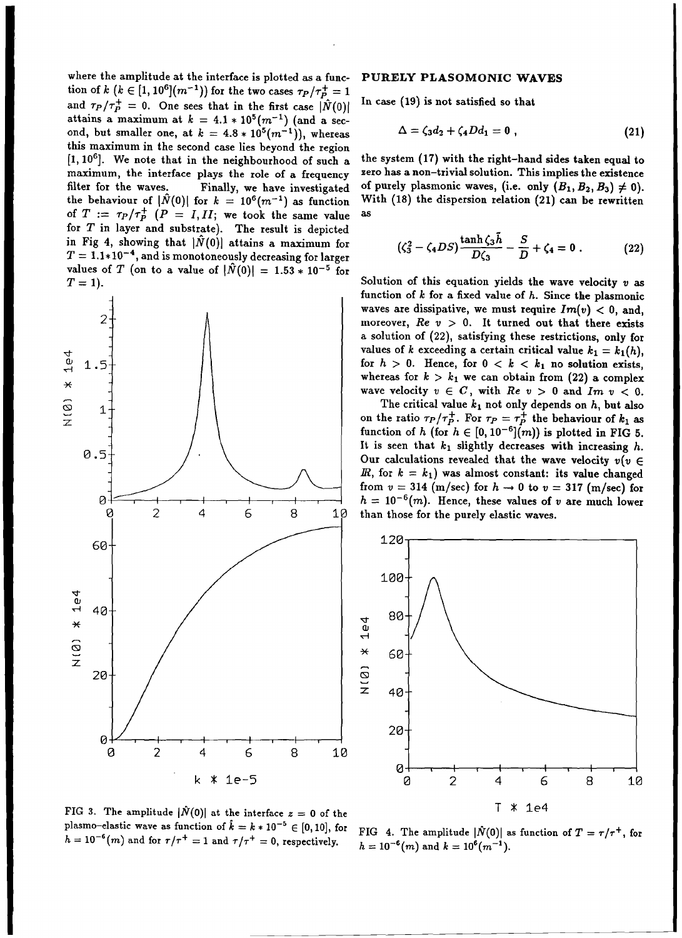where the amplitude at the interface is plotted as a function of k ( $k \in [1, 10^6] (m^{-1})$ ) for the two cases  $\tau_P / \tau_P^+ = 1$ and  $\tau_P/\tau_P^+ = 0$ . One sees that in the first case  $|\hat{N}(0)|$ attains a maximum at  $k = 4.1 * 10^5 (m^{-1})$  (and a second, but smaller one, at  $k = 4.8 * 10^5 (m^{-1})$ , whereas this maximum in the second case lies beyond the region [1,10<sup>6</sup> ]. We note that in the neighbourhood of such a maximum, the interface plays the role of a frequency filter for the waves. Finally, we have investigated the behaviour of  $|\hat{N}(0)|$  for  $k = 10^6 (m^{-1})$  as function of  $T := \tau_P / \tau_P^+$  ( $P = I, II$ ; we took the same value for *T* in layer and substrate). The result is depicted in Fig 4, showing that  $|\tilde{N}(0)|$  attains a maximum for  $T = 1.1*10^{-4}$ , and is monotoneously decreasing for larger values of T (on to a value of  $|\hat{N}(0)| = 1.53 * 10^{-5}$  for  $T=1$ ).



### PURELY PLASOMONIC WAVES

In case (19) is not satisfied so that

$$
\Delta = \zeta_3 d_2 + \zeta_4 D d_1 = 0 \tag{21}
$$

the system (17) with the right-hand sides taken equal to zero has a non-trivial solution. This implies the existence of purely plasmonic waves, (i.e. only  $(B_1, B_2, B_3) \neq 0$ ). With (18) the dispersion relation (21) can be rewritten as

$$
(\zeta_3^2 - \zeta_4 DS) \frac{\tanh \zeta_3 \tilde{h}}{D\zeta_3} - \frac{S}{D} + \zeta_4 = 0. \tag{22}
$$

Solution of this equation yields the wave velocity *v* as function of  $k$  for a fixed value of  $h$ . Since the plasmonic waves are dissipative, we must require  $Im(v) < 0$ , and, moreover,  $Re v > 0$ . It turned out that there exists a solution of (22), satisfying these restrictions, only for values of k exceeding a certain critical value  $k_1 = k_1(h)$ , for  $h > 0$ . Hence, for  $0 < k < k_1$  no solution exists, whereas for  $k > k_1$  we can obtain from (22) a complex wave velocity  $v \in C$ , with  $Re v > 0$  and  $Im v < 0$ .

The critical value  $k_1$  not only depends on  $h$ , but also on the ratio  $\tau_P/\tau_P^+$ . For  $\tau_P = \tau_P^+$  the behaviour of  $k_1$  as function of h (for  $h \in [0, 10^{-6}](m)$ ) is plotted in FIG 5. It is seen that  $k_1$  slightly decreases with increasing h. Our calculations revealed that the wave velocity  $v(v \in$ *, for*  $k = k_1$ *) was almost constant: its value changed* from  $v = 314$  (m/sec) for  $h \to 0$  to  $v = 317$  (m/sec) for  $h = 10^{-6}(m)$ . Hence, these values of *v* are much lower



FIG 3. The amplitude  $|\hat{N}(0)|$  at the interface  $z=0$  of the plasmo-elastic wave as function of  $\hat{k} = k * 10^{-5} \in [0,10]$ , for  $h = 10^{-6}(m)$  and for  $\tau/\tau^+ = 1$  and  $\tau/\tau^+ = 0$ , respectively.

FIG 4. The amplitude  $|\hat{N}(0)|$  as function of  $T = \tau/\tau^+$ , for  $h = 10^{-6}(m)$  and  $k = 10^{6}(m^{-1})$ .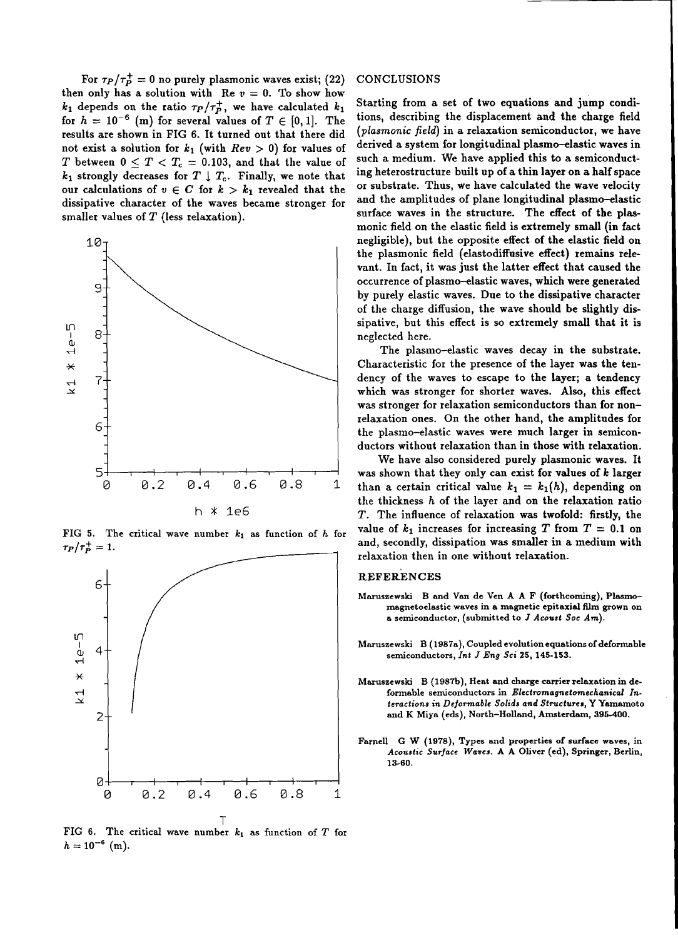For  $\tau_P/\tau_P^+ = 0$  no purely plasmonic waves exist; (22) then only has a solution with Re  $v = 0$ . To show how  $k_1$  depends on the ratio  $\tau_P/\tau_P^+$ , we have calculated  $k_1$ for  $h = 10^{-6}$  (m) for several values of  $T \in [0,1]$ . The results are shown in FIG 6. It turned out that there did not exist a solution for  $k_1$  (with  $Rev > 0$ ) for values of *T* between  $0 < T < T_c = 0.103$ , and that the value of  $k_1$  strongly decreases for  $T \perp T_c$ . Finally, we note that our calculations of  $v \in C$  for  $k > k_1$  revealed that the dissipative character of the waves became stronger for smaller values of  $T$  (less relaxation).



FIG 5. The critical wave number  $k_1$  as function of  $h$  for  $\tau_P/\tau_P^+ = 1.$ 



FIG 6. The critical wave number  $k_1$  as function of  $T$  for  $h = 10^{-6}$  (m).

#### CONCLUSIONS

Starting from a set of two equations and jump conditions, describing the displacement and the charge field *(plasmonic field)* in a relaxation semiconductor, we have derived a system for longitudinal plasmo-elastic waves in such a medium. We have applied this to a semiconducting heterostructure built up of a thin layer on a half space or substrate. Thus, we have calculated the wave velocity and the amplitudes of plane longitudinal plasmo-elastic surface waves in the structure. The effect of the plasmonic field on the elastic field is extremely small (in fact negligible), but the opposite effect of the elastic field on the plasmonic field (elastodiffusive effect) remains relevant. In fact, it was just the latter effect that caused the occurrence of plasma-elastic waves, which were generated by purely elastic waves. Due to the dissipative character of the charge diffusion, the wave should be slightly dissipative, but this effect is so extremely small that it is neglected here.

The plasmo-elastic waves decay in the substrate. Characteristic for the presence of the layer was the tendency of the waves to escape to the layer; a tendency which was stronger for shorter waves. Also, this effect was stronger for relaxation semiconductors than for nonrelaxation ones. On the other hand, the amplitudes for the plasmo-elastic waves were much larger in semiconductors without relaxation than in those with relaxation.

We have also considered purely plasmonic waves. It was shown that they only can exist for values of *k* larger than a certain critical value  $k_1 = k_1(h)$ , depending on the thickness *h* of the layer and on the relaxation ratio T. The influence of relaxation was twofold: firstly, the value of  $k_1$  increases for increasing  $T$  from  $T = 0.1$  on and, secondly, dissipation was smaller in a medium with relaxation then in one without relaxation.

#### **REFERENCES**

- Maruszewski B and Van de Ven A A F (forthcoming), Plasmomagnetoe1astic waves in a magnetic epitaxial film grown on a semiconductor, (submitted to *J Acoust Soc Am*).
- Maruszewski B (1987a), Coupled evolution equations of deformable semiconductors, *Int J Eng Sci* 25, 145-153.
- Maruszewski B (1987b), Heat and charge carrier relaxation in deformable semiconductors in *Electromagnetomechanical Interactions in Deformable Solids and Structuru,* Y Yamamoto and K Miya (eds), North-Holland, Amsterdam, 395-400.
- Farnell G W (1978), Types and properties of surface waves, in *Acoustic Surface Waves.* A A Oliver (ed), Springer, Berlin, 13-60.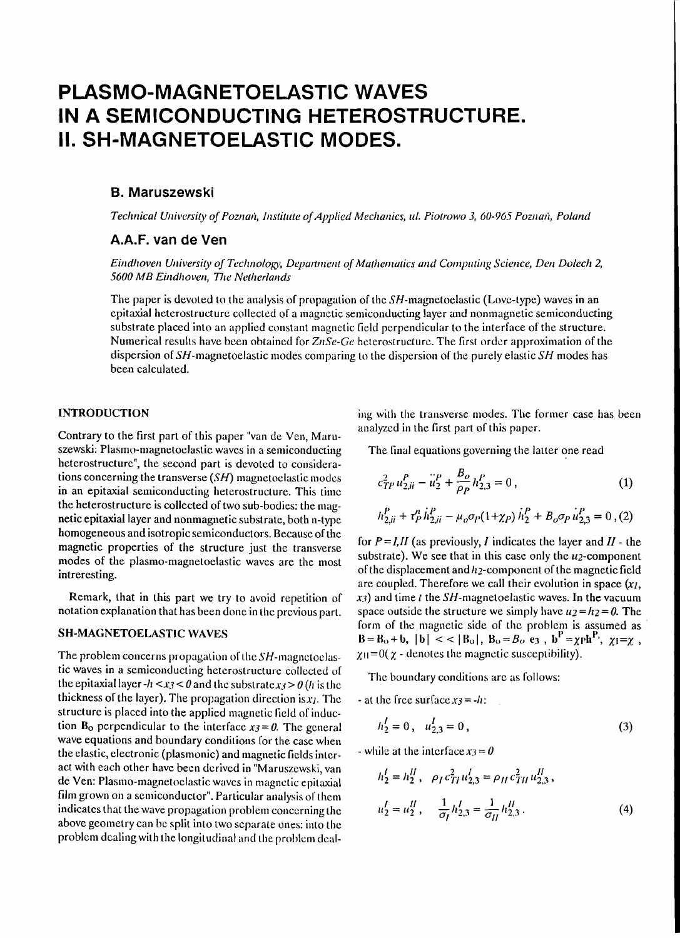# **PLASMO-MAGNETOELASTIC WAVES IN A SEMICONDUCTING HETEROSTRUCTURE. II. SH-MAGNETOELASTIC MODES.**

#### B. Maruszewski

*Technical Univcrsity ojPOZIIGli, Institute ojApplied Mcchanics, Ill. Piotrowo* 3, *60-965 PoznaJi, Po/and*

### A.A.F. van de Ven

*Eindhoven University of Technology, Department of Mathematics and Computing Science, Den Dolech 2, 5600 MB Eindhoven, The Nether/allds*

The paper is devoted to the analysis of propagation of the SH-magnetoelastic (Love-type) waves in an epitaxial heterostructure collectcd of a magnetic semiconducting layer and nonmagnetic semiconducting substrate placed into an applied constant magnetic field perpendicular to the interface of the structure. Numerical results have been obtained for *ZIISe-Ge* heterostructure. The first order approximation of the dispersion of SH-magnetoelastic modes comparing to the dispersion of the purely elastic *SH* modes has been calculated.

### INTRODUCTION

Contrary to the first part of this paper "van de Yen, Maruszewski: Plasmo-magnetoelastic waves in a semiconducting heterostructure", the second part is devotcd to considerations concerning the transverse *(SH)* magnetoclastic modes in an epitaxial semiconducting heterostructure. This time the heterostructure is collected of two sub-bodies: the magnetic epitaxial layer and nonmagnetic substrate, both n-type homogeneous and isotropic semiconductors. Because of the magnetic properties of the structure just the transverse modes of the plasmo-magnetoelastic waves are the most intreresting.

Remark, that in this part we try to avoid repetition of notation explanation that has been done in thc previous parl.

### SH·MAGNETOELASTIC WAVES

The problem concerns propagation of the  $SH$ -magnetoelastic waves in a semiconducting heterostructure collected of the epitaxial layer  $-h < x<sub>3</sub> < 0$  and the substrate  $x<sub>3</sub> > 0$  (h is the thickness of the layer). The propagation direction is  $x_1$ . The structure is placed into the applied magnetic field of induction  $B_0$  perpendicular to the interface  $x_3 = 0$ . The general wave equations and boundary conditions for the case when the clastic, electronic (plasmonic) and magnetic fields intcract with each other have been derivcd in "Maruszewski, van de Yen: Plasmo-magnetoclastic waves in magnctic epitaxial film grown on a semiconductor". Particular analysis of them indicates that the wave propagation problem concerning the above geometry can bc split into two separate ones: into the problem dcaling with the longitudinal and the problem dealing with the transverse modes. The former case has been analyzed in the first part of this paper.

The final equations governing the latter one read

$$
c_{TP}^2 u_{2ji}^P - \ddot{u}_2^P + \frac{B_o}{\rho_P} h_{2,3}^P = 0, \qquad (1)
$$

$$
h_{2,ii}^P + \tau_P^h h_{2,ii}^P - \mu_o \sigma_P (1 + \chi_P) h_2^P + B_o \sigma_P u_{2,3}^P = 0, (2)
$$

for  $P = I, II$  (as previously, *I* indicates the layer and  $II$  - the substrate). We see that in this case only the  $u_2$ -component of the displacement and  $h_2$ -component of the magnetic field are coupled. Therefore we call their evolution in space *(XJ,*  $x_3$ ) and time *t* the SH-magnetoelastic waves. In the vacuum space outside the structure we simply have  $u_2 = h_2 = 0$ . The form of the magnetic side of the problem is assumed as  $|B = B_0 + b, |b| < |B_0|, B_0 = B_0$  e3,  $b^P = \chi ph^P, \chi_l = \chi$ ,  $\chi_{\rm II} = 0(\chi - \text{denotes the magnetic susceptibility}).$ 

The boundary conditions are as follows:

- at the free surface  $x_3 = -h$ :

$$
h_2^I = 0 \,, \quad u_{2,3}^I = 0 \,, \tag{3}
$$

- while at the interface 
$$
x_3 = 0
$$
  
\n
$$
h'_2 = h''_2, \quad \rho_I c_{TI}^2 u'_{2,3} = \rho_{II} c_{TI}^2 u''_{2,3},
$$
\n
$$
u'_2 = u''_2, \quad \frac{1}{\sigma_I} h'_{2,3} = \frac{1}{\sigma_{II}} h''_{2,3}. \tag{4}
$$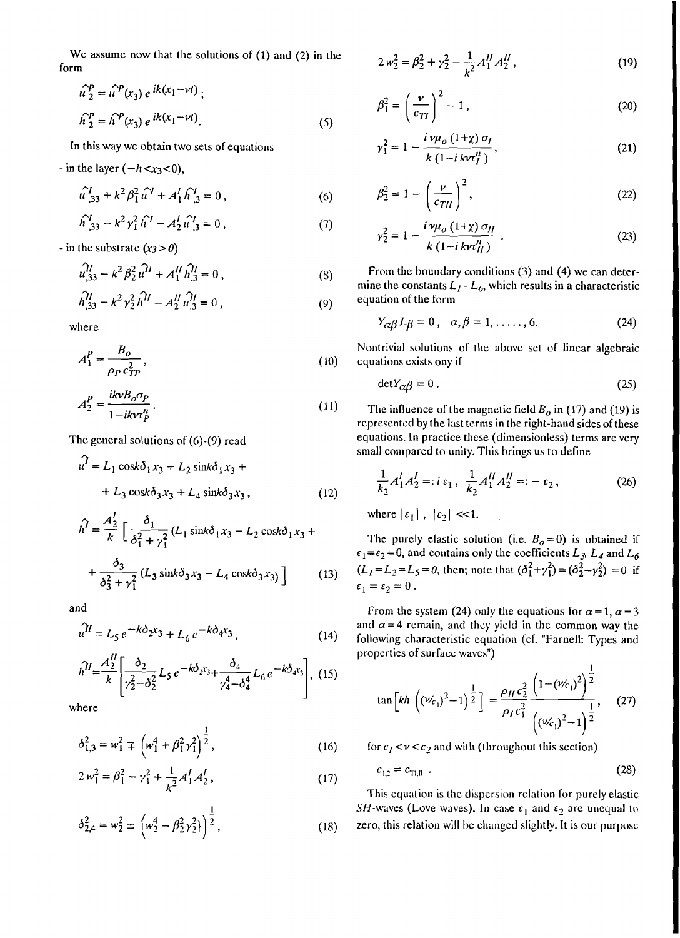We assume now that the solutions of  $(1)$  and  $(2)$  in the form

$$
\hat{u}_2^P = \hat{u}^P(x_3) e^{ik(x_1 - \nu t)}; \n\hat{h}_2^P = \hat{h}^P(x_3) e^{ik(x_1 - \nu t)}.
$$
\n(5)

In this way we obtain two sets of equations

- in the layer  $(-h < x<sub>3</sub> < 0)$ ,

$$
\hat{u}_{,33}^I + k^2 \beta_1^2 \hat{u}^I + A_1^I \hat{h}_{,3}^I = 0,
$$
\n(6)

$$
\hat{h}_{,33}^I - k^2 \gamma_1^2 \hat{h}^I - A_2^I \hat{u}_{,3}^I = 0, \qquad (7)
$$

- in the substrate  $(x_3 > 0)$ 

$$
\hat{u}_{,33}^{II} - k^2 \beta_2^2 \hat{u}^{II} + A_1^{II} \hat{h}_{,3}^{II} = 0, \qquad (8)
$$

$$
\hat{h}_{,33}^{II} - k^2 \gamma_2^2 \hat{h}^{II} - A_2^{II} \hat{u}_{,3}^{II} = 0,
$$
\n(9)

where

$$
A_1^P = \frac{B_o}{\rho_P c_{TP}^2},\tag{10}
$$

$$
A_2^P = \frac{i k v B_o \sigma_P}{1 - i k v \tau_P^p}.
$$
\n(11)

The general solutions of  $(6)-(9)$  read

$$
u7 = L1 cos k \delta1 x3 + L2 sin k \delta1 x3 ++ L3 cos k \delta3 x3 + L4 sin k \delta3 x3,
$$
 (12)

$$
\hat{h}^2 = \frac{A_2^2}{k} \left[ \frac{\delta_1}{\delta_1^2 + \gamma_1^2} (L_1 \sin k \delta_1 x_3 - L_2 \cos k \delta_1 x_3 + \frac{\delta_3}{\delta_3^2 + \gamma_1^2} (L_3 \sin k \delta_3 x_3 - L_4 \cos k \delta_3 x_3) \right]
$$
(13)

and

$$
\hat{u}^{1} = L_5 e^{-k\delta_2 x_3} + L_6 e^{-k\delta_4 x_3},
$$
\n(14)

$$
h^{\hspace{0.5pt} \eta l} = \frac{A_2^{\hspace{0.5pt} \eta l}}{k} \left[ \frac{\delta_2}{\gamma_2^2 - \delta_2^2} L_5 e^{-k \delta_2 \mathfrak{r}_3} + \frac{\delta_4}{\gamma_4^4 - \delta_4^4} L_6 e^{-k \delta_4 \mathfrak{r}_3} \right], \tag{15}
$$

where

$$
\delta_{1,3}^2 = w_1^2 \mp \left( w_1^4 + \beta_1^2 \gamma_1^2 \right)^{\frac{1}{2}},\tag{16}
$$

$$
2 w_1^2 = \beta_1^2 - \gamma_1^2 + \frac{1}{k^2} A_1^I A_2^I,
$$
 (17)

$$
\delta_{2,4}^2 = w_2^2 \pm \left( w_2^4 - \beta_2^2 \gamma_2^2 \right) \Bigg)^{\frac{1}{2}}, \tag{18}
$$

$$
2 w_2^2 = \beta_2^2 + \gamma_2^2 - \frac{1}{k^2} A_1^H A_2^H,
$$
 (19)

$$
\beta_1^2 = \left(\frac{\nu}{c_{TI}}\right)^2 - 1\,,\tag{20}
$$

$$
\gamma_1^2 = 1 - \frac{i \nu \mu_o (1 + \chi) \sigma_l}{k (1 - i k v \tau_l^{\prime \prime})},
$$
\n(21)

$$
\beta_2^2 = 1 - \left(\frac{\nu}{c_{TH}}\right)^2,\tag{22}
$$

$$
\gamma_2^2 = 1 - \frac{i \nu \mu_o (1 + \chi) \sigma_{II}}{k (1 - i k \nu \tau_{II}^n)}
$$
 (23)

From the boundary conditions (3) and (4) we can determine the constants  $L_1 - L_6$ , which results in a characteristic equation of the form

$$
Y_{\alpha\beta}L_{\beta}=0\,,\quad \alpha,\beta=1,\ldots,6.\tag{24}
$$

Nontrivial solutions of the above set of linear algebraic equations exists ony if

$$
\det Y_{\alpha\beta} = 0. \tag{25}
$$

The influence of the magnetic field  $B<sub>o</sub>$  in (17) and (19) is represented by the last terms in the right-hand sides of these equations. In practice these (dimensionless) terms are very small compared to unity. This brings us to define

$$
\frac{1}{k_2} A_1^I A_2^I =: i \varepsilon_1, \ \frac{1}{k_2} A_1^I A_2^I =: - \varepsilon_2,
$$
 (26)

where  $|\varepsilon_1|$ ,  $|\varepsilon_2|$  <<1.

The purely elastic solution (i.e.  $B_0 = 0$ ) is obtained if  $\varepsilon_1 = \varepsilon_2 = 0$ , and contains only the coefficients  $L_3$ ,  $L_4$  and  $L_6$  $(L_1 = L_2 = L_5 = 0$ , then; note that  $(\delta_1^2 + \gamma_1^2) = (\delta_2^2 - \gamma_2^2) = 0$  if  $\varepsilon_1 = \varepsilon_2 = 0$ .

From the system (24) only the equations for  $\alpha = 1$ ,  $\alpha = 3$ and  $\alpha = 4$  remain, and they yield in the common way the following characteristic equation (cf. "Farnell: Types and properties of surface waves")

$$
\tan\left[kh\left((\nu_{c_1})^2-1\right)^{\frac{1}{2}}\right] = \frac{\rho_{II}c_2^2}{\rho_Ic_1^2} \frac{\left(1-(\nu_{c_1})^2\right)^{\frac{1}{2}}}{\left((\nu_{c_1})^2-1\right)^{\frac{1}{2}}},\quad(27)
$$

for  $c_1 < v < c_2$  and with (throughout this section)

$$
c_{1,2} = c_{\text{TI},0} \tag{28}
$$

This equation is the dispersion relation for purely elastic *SH*-waves (Love waves). In case  $\varepsilon_1$  and  $\varepsilon_2$  are unequal to zero, this relation will be changed slightly. It is our purpose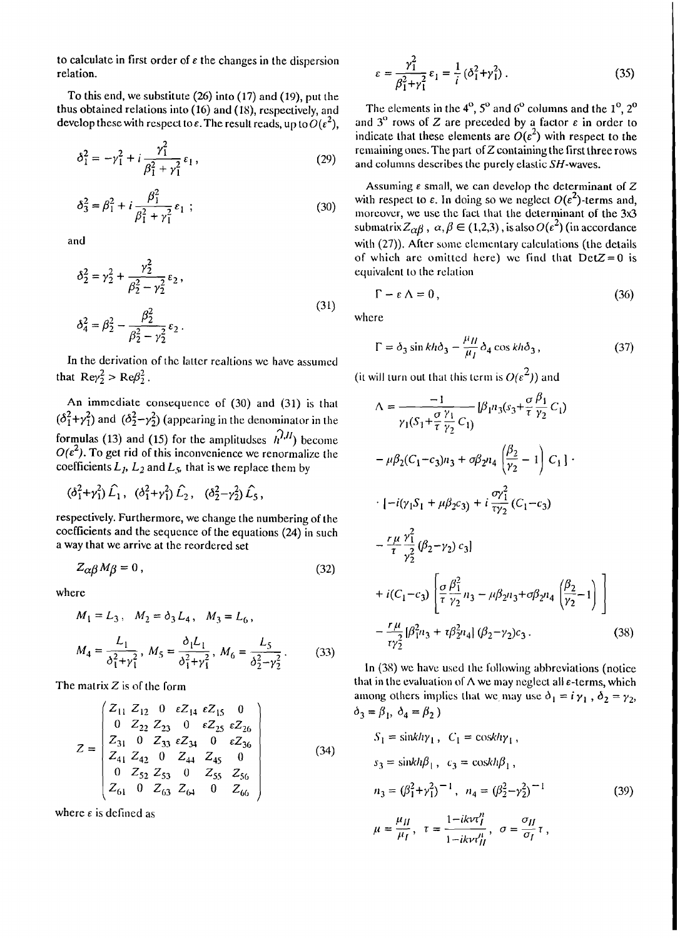to calculate in first order of  $\varepsilon$  the changes in the dispersion relation.

To this end, we substitute  $(26)$  into  $(17)$  and  $(19)$ , put the thus obtained relations into (16) and (18), respectively, and develop these with respect to  $\varepsilon$ . The result reads, up to  $O(\varepsilon^2)$ .

$$
\delta_1^2 = -\gamma_1^2 + i \frac{\gamma_1^2}{\beta_1^2 + \gamma_1^2} \varepsilon_1 , \qquad (29)
$$

$$
\delta_3^2 = \beta_1^2 + i \frac{\beta_1^2}{\beta_1^2 + \gamma_1^2} \varepsilon_1 ; \qquad (30)
$$

and

$$
\delta_2^2 = \gamma_2^2 + \frac{\gamma_2^2}{\beta_2^2 - \gamma_2^2} \epsilon_2,
$$
  

$$
\delta_4^2 = \beta_2^2 - \frac{\beta_2^2}{\beta_2^2 - \gamma_2^2} \epsilon_2.
$$
 (31)

In the derivation of the latter realtions we have assumed that  $\text{Re}\gamma_2^2 > \text{Re}\beta_2^2$ .

An immediate consequence of  $(30)$  and  $(31)$  is that  $(\delta_1^2 + \gamma_1^2)$  and  $(\delta_2^2 - \gamma_2^2)$  (appearing in the denominator in the formulas (13) and (15) for the amplitudes  $\hat{h}^{1,II}$  become  $O(\epsilon^2)$ . To get rid of this inconvenience we renormalize the coefficients  $L_1$ ,  $L_2$  and  $L_5$ , that is we replace them by

$$
(\delta_1^2 + \gamma_1^2) \hat{L}_1, \quad (\delta_1^2 + \gamma_1^2) \hat{L}_2, \quad (\delta_2^2 - \gamma_2^2) \hat{L}_5,
$$

respectively. Furthermore, we change the numbering of the coefficients and the sequence of the equations (24) in such a way that we arrive at the reordered set

$$
Z_{\alpha\beta}M_{\beta}=0\,,\tag{32}
$$

where

$$
M_1 = L_3, \quad M_2 = \delta_3 L_4, \quad M_3 = L_6,
$$
  

$$
M_4 = \frac{L_1}{\delta_1^2 + \gamma_1^2}, \quad M_5 = \frac{\delta_1 L_1}{\delta_1^2 + \gamma_1^2}, \quad M_6 = \frac{L_5}{\delta_2^2 - \gamma_2^2}.
$$
 (33)

The matrix  $Z$  is of the form

$$
Z = \begin{pmatrix} Z_{11} & Z_{12} & 0 & \varepsilon Z_{14} & \varepsilon Z_{15} & 0 \\ 0 & Z_{22} & Z_{23} & 0 & \varepsilon Z_{25} & \varepsilon Z_{26} \\ Z_{31} & 0 & Z_{33} & \varepsilon Z_{34} & 0 & \varepsilon Z_{36} \\ Z_{41} & Z_{42} & 0 & Z_{44} & Z_{45} & 0 \\ 0 & Z_{52} & Z_{53} & 0 & Z_{55} & Z_{56} \\ Z_{61} & 0 & Z_{63} & Z_{64} & 0 & Z_{66} \end{pmatrix}
$$
(34)

where  $\epsilon$  is defined as

$$
\varepsilon = \frac{\gamma_1^2}{\beta_1^2 + \gamma_1^2} \varepsilon_1 = \frac{1}{i} (\delta_1^2 + \gamma_1^2) \,. \tag{35}
$$

The elements in the  $4^{\circ}$ ,  $5^{\circ}$  and  $6^{\circ}$  columns and the  $1^{\circ}$ ,  $2^{\circ}$ and  $3^{\circ}$  rows of Z are preceded by a factor  $\varepsilon$  in order to indicate that these elements are  $O(\epsilon^2)$  with respect to the remaining ones. The part of  $Z$  containing the first three rows and columns describes the purely elastic SH-waves.

Assuming  $\varepsilon$  small, we can develop the determinant of Z with respect to  $\varepsilon$ . In doing so we neglect  $O(\varepsilon^2)$ -terms and, moreover, we use the fact that the determinant of the 3x3 submatrix  $Z_{\alpha\beta}$ ,  $\alpha, \beta \in (1,2,3)$ , is also  $O(\epsilon^2)$  (in accordance with (27)). After some elementary calculations (the details of which are omitted here) we find that  $DetZ = 0$  is equivalent to the relation

$$
\Gamma - \varepsilon \Lambda = 0, \tag{36}
$$

where

$$
\Gamma = \delta_3 \sin kh \delta_3 - \frac{\mu_H}{\mu_I} \delta_4 \cos kh \delta_3, \qquad (37)
$$

(it will turn out that this term is  $O(\epsilon^2)$ ) and

$$
\Lambda = \frac{-1}{\gamma_1 (S_1 + \frac{\sigma}{\tau} \frac{\gamma_1}{\gamma_2} C_1)} [\beta_1 n_3 (s_3 + \frac{\sigma}{\tau} \frac{\beta_1}{\gamma_2} C_1)
$$
  
\n
$$
- \mu \beta_2 (C_1 - c_3) n_3 + \sigma \beta_2 n_4 \left( \frac{\beta_2}{\gamma_2} - 1 \right) C_1 ]
$$
  
\n
$$
\cdot [-i(\gamma_1 S_1 + \mu \beta_2 c_3) + i \frac{\sigma \gamma_1^2}{\tau \gamma_2} (C_1 - c_3)
$$
  
\n
$$
- \frac{r \mu}{\tau} \frac{\gamma_1^2}{\gamma_2^2} (\beta_2 - \gamma_2) c_3 ]
$$
  
\n
$$
+ i(C_1 - c_3) \left[ \frac{\sigma}{\tau} \frac{\beta_1^2}{\gamma_2} n_3 - \mu \beta_2 n_3 + \sigma \beta_2 n_4 \left( \frac{\beta_2}{\gamma_2} - 1 \right) \right]
$$
  
\n
$$
- \frac{r \mu}{\tau \gamma_2^2} [\beta_1^2 n_3 + \tau \beta_2^2 n_4] (\beta_2 - \gamma_2) c_3.
$$
 (38)

In (38) we have used the following abbreviations (notice that in the evaluation of  $\Lambda$  we may neglect all  $\varepsilon$ -terms, which among others implies that we may use  $\delta_1 = i \gamma_1$ ,  $\delta_2 = \gamma_2$ ,  $\delta_3 = \beta_1$ ,  $\delta_4 = \beta_2$ )

$$
S_1 = \sin k h \gamma_1, C_1 = \cos k h \gamma_1,
$$
  
\n
$$
s_3 = \sin k h \beta_1, c_3 = \cosh h \beta_1,
$$
  
\n
$$
n_3 = (\beta_1^2 + \gamma_1^2)^{-1}, n_4 = (\beta_2^2 - \gamma_2^2)^{-1}
$$
  
\n
$$
\mu = \frac{\mu_H}{\mu_I}, \tau = \frac{1 - ik \nu t_I^{\mu}}{1 - ik \nu t_I^{\mu}}, \sigma = \frac{\sigma_H}{\sigma_I} \tau,
$$
\n(39)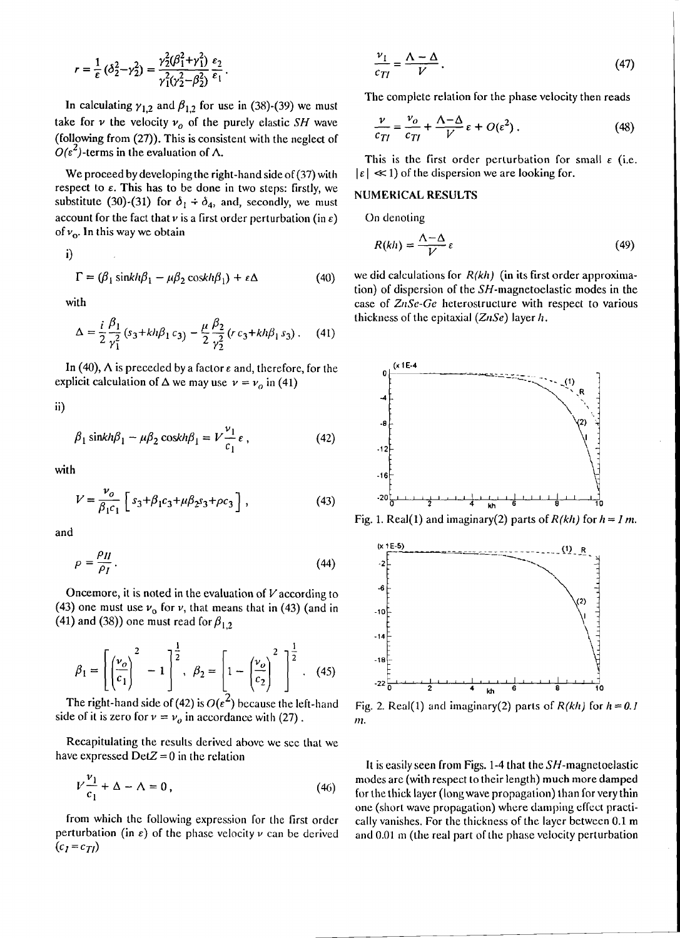$$
r = \frac{1}{\epsilon} (\delta_2^2 - \gamma_2^2) = \frac{\gamma_2^2 (\beta_1^2 + \gamma_1^2)}{\gamma_1^2 (\gamma_2^2 - \beta_2^2)} \frac{\varepsilon_2}{\varepsilon_1}.
$$

In calculating  $\gamma_{1,2}$  and  $\beta_{1,2}$  for use in (38)-(39) we must take for  $\nu$  the velocity  $\nu$ <sup>0</sup> of the purely elastic *SH* wave (following from (27)). This is consistent with the neglect of  $O(\varepsilon^2)$ -terms in the evaluation of  $\Lambda$ .

We proceed by developing the right-hand side of (37) with respect to  $\varepsilon$ . This has to be done in two steps: firstly, we substitute (30)-(31) for  $\delta_1 \div \delta_4$ , and, secondly, we must account for the fact that  $\nu$  is a first order perturbation (in  $\varepsilon$ ) of  $v_{\rm o}$ . In this way we obtain

i)

$$
\Gamma = (\beta_1 \sin kh\beta_1 - \mu\beta_2 \cos kh\beta_1) + \varepsilon \Delta \tag{40}
$$

with

$$
\Delta = \frac{i}{2} \frac{\beta_1}{\gamma_1^2} (s_3 + k h \beta_1 c_3) - \frac{\mu}{2} \frac{\beta_2}{\gamma_2^2} (r c_3 + k h \beta_1 s_3) \,. \tag{41}
$$

In (40),  $\Lambda$  is preceded by a factor  $\varepsilon$  and, therefore, for the explicit calculation of  $\Delta$  we may use  $v = v_o$  in (41)

ii)

$$
\beta_1 \sin kh \beta_1 - \mu \beta_2 \cosh \beta_1 = V \frac{\nu_1}{c_1} \varepsilon , \qquad (42)
$$

with

$$
V = \frac{\nu_o}{\beta_1 c_1} \left[ s_3 + \beta_1 c_3 + \mu \beta_2 s_3 + \rho c_3 \right],
$$
 (43)

and

$$
\rho = \frac{\rho_H}{\rho_I} \,. \tag{44}
$$

Oncemore, it is noted in the evaluation of *V* according to (43) one must use  $v_0$  for  $v$ , that means that in (43) (and in (41) and (38)) one must read for  $\beta_{1,2}$ 

$$
\beta_1 = \left[ \left( \frac{\nu_o}{c_1} \right)^2 - 1 \right]^{\frac{1}{2}}, \ \beta_2 = \left[ 1 - \left( \frac{\nu_o}{c_2} \right)^2 \right]^{\frac{1}{2}}.
$$
 (45)

The right-hand side of (42) is  $O(\epsilon^2)$  because the left-hand side of it is zero for  $\nu = \nu_o$  in accordance with (27).

Recapitulating the results derived above we sec that we have expressed  $DetZ = 0$  in the relation

$$
V\frac{v_1}{c_1} + \Delta - \Lambda = 0, \qquad (46)
$$

from which the following expression for the first ordcr perturbation (in  $\varepsilon$ ) of the phase velocity  $\nu$  can be derived  $(c_I = c_{TI})$ 

$$
\frac{\nu_1}{c_{TI}} = \frac{\Lambda - \Delta}{V} \,. \tag{47}
$$

The complete relation for the phase velocity then reads

$$
\frac{\nu}{c_{TI}} = \frac{\nu_o}{c_{TI}} + \frac{\Lambda - \Delta}{V} \varepsilon + O(\varepsilon^2) \,. \tag{48}
$$

This is the first order perturbation for small  $\varepsilon$  (i.e.  $|\varepsilon| \ll 1$  of the dispersion we are looking for.

#### NUMERICAL RESULTS

On denoting

$$
R(kh) = \frac{\Lambda - \Delta}{V} \varepsilon \tag{49}
$$

we did calculations for  $R(kh)$  (in its first order approximation) of dispersion of the SH-magnetoelastic modes in the case of  $ZnSe-Ge$  heterostructure with respect to various thickness of the epitaxial  $(ZnSe)$  layer h.







Fig. 2. Real(1) and imaginary(2) parts of  $R(kh)$  for  $h = 0.1$ *111.*

It is easily seen from Figs. 1-4 that the SH-magnetoelastic modes arc (with respect to their length) much more damped for the thick layer (long wave propagation) than for very thin one (short wave propagation) where damping effect practically vanishes. For the thickness of the layer between 0.1 m and 0.01 m (the real part of the phase velocity perturbation